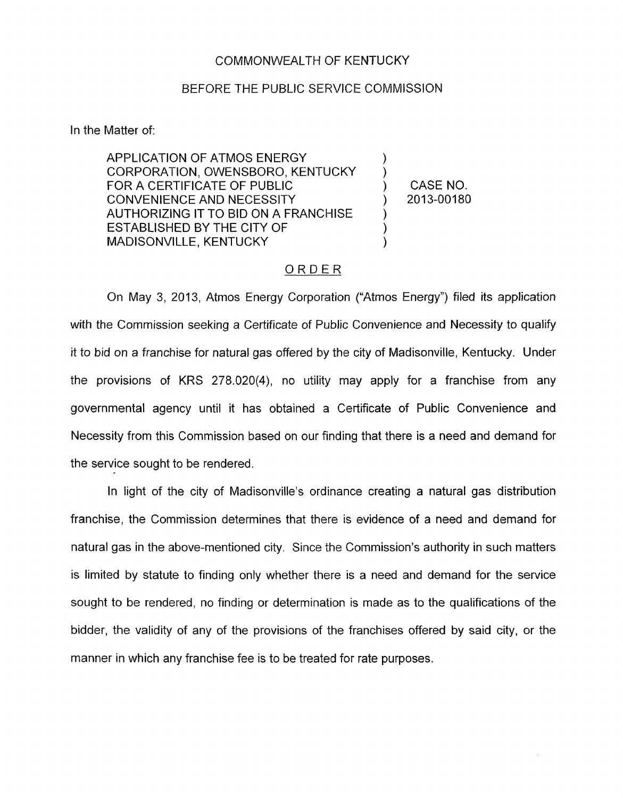## COMMONWEALTH OF KENTUCKY

## BEFORE THE PUBLIC SERVICE COMMISSION

In the Matter of:

APPLICATION OF ATMOS ENERGY  $)$ <br>CORPORATION. OWENSBORO. KENTUCKY  $)$ CORPORATION, OWENSBORO, KENTUCKY FOR A CERTIFICATE OF PUBLIC  $(2013-00180)$  CASE NO. CONVENIENCE AND NECESSITY AUTHORIZING IT TO BID ON A FRANCHISE ESTABLISHED BY THE CITY OF  $\rule{1em}{0.15mm}$  (MADISONVILLE, KENTUCKY MADISONVILLE, KENTUCKY

## ORDER

On May 3, 2013, Atmos Energy Corporation ("Atmos Energy") filed its application with the Commission seeking a Certificate of Public Convenience and Necessity to qualify it to bid on a franchise for natural gas offered by the city of Madisonville, Kentucky. Under the provisions of KRS 278.020(4), no utility may apply for a franchise from any governmental agency until it has obtained a Certificate of Public Convenience and Necessity from this Commission based on our finding that there is a need and demand for the service sought to be rendered.

In light of the city of Madisonville's ordinance creating a natural gas distribution franchise, the Commission determines that there is evidence of a need and demand for natural gas in the above-mentioned city. Since the Commission's authority in such matters is limited by statute to finding only whether there is a need and demand for the service sought to be rendered, no finding or determination is made as to the qualifications of the bidder, the validity of any of the provisions of the franchises offered by said city, or the manner in which any franchise fee is to be treated for rate purposes.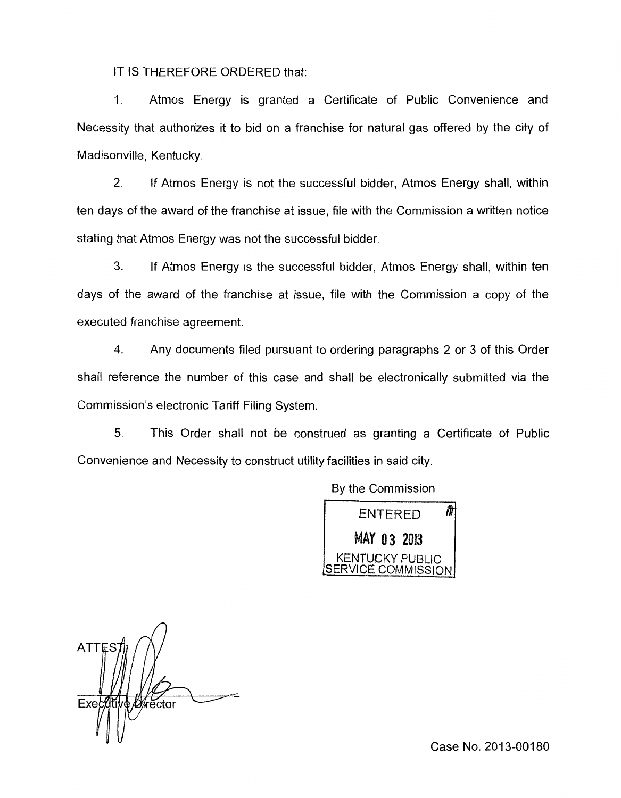IT IS THEREFORE ORDERED that:

1. Atmos Energy is granted a Certificate of Public Convenience and Necessity that authorizes it to bid on a franchise for natural gas offered by the city of Madisonville, Kentucky.

2. If Atmos Energy is not the successful bidder, Atmos Energy shall, within ten days of the award of the franchise at issue, file with the Commission a written notice stating that Atmos Energy was not the successful bidder.

3. If Atmos Energy is the successful bidder, Atmos Energy shall, within ten days of the award of the franchise at issue, file with the Commission a copy of the executed franchise agreement.

**4.** Any documents filed pursuant to ordering paragraphs 2 or 3 of this Order shall reference the number of this case and shall be electronically submitted via the Commission's electronic Tariff Filing System.

5. This Order shall not be construed as granting a Certificate of Public Convenience and Necessity to construct utility facilities in said city.

By the Commission



**ATTE** ∉ */D*∦ector Exectifi

Case No. 2013-00180